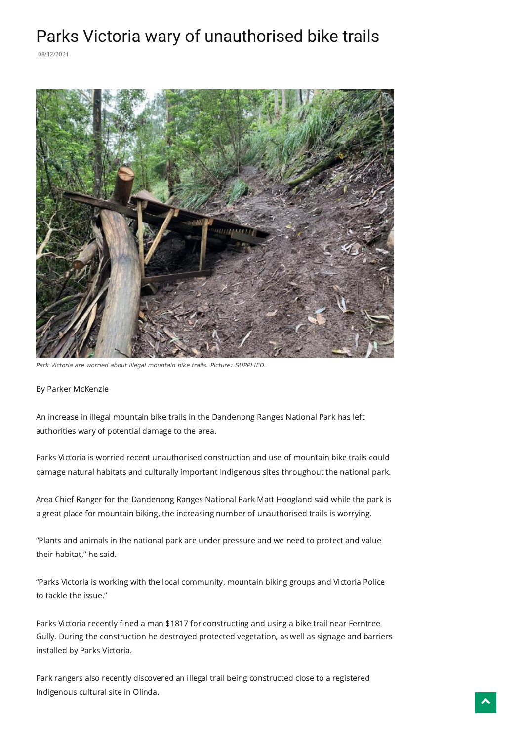## Parks Victoria wary of unauthorised bike trails

08/12/2021



*Park Victoria are worried about illegal mountain bike trails. Picture: SUPPLIED.*

By Parker McKenzie

An increase in illegal mountain bike trails in the Dandenong Ranges National Park has left authorities wary of potential damage to the area.

Parks Victoria is worried recent unauthorised construction and use of mountain bike trails could damage natural habitats and culturally important Indigenous sites throughout the national park.

Area Chief Ranger for the Dandenong Ranges National Park Matt Hoogland said while the park is a great place for mountain biking, the increasing number of unauthorised trails is worrying.

"Plants and animals in the national park are under pressure and we need to protect and value their habitat," he said.

"Parks Victoria is working with the local community, mountain biking groups and Victoria Police to tackle the issue."

Parks Victoria recently fined a man \$1817 for constructing and using a bike trail near Ferntree Gully. During the construction he destroyed protected vegetation, as well as signage and barriers installed by Parks Victoria.

Park rangers also recently discovered an illegal trail being constructed close to a registered Indigenous cultural site in Olinda.